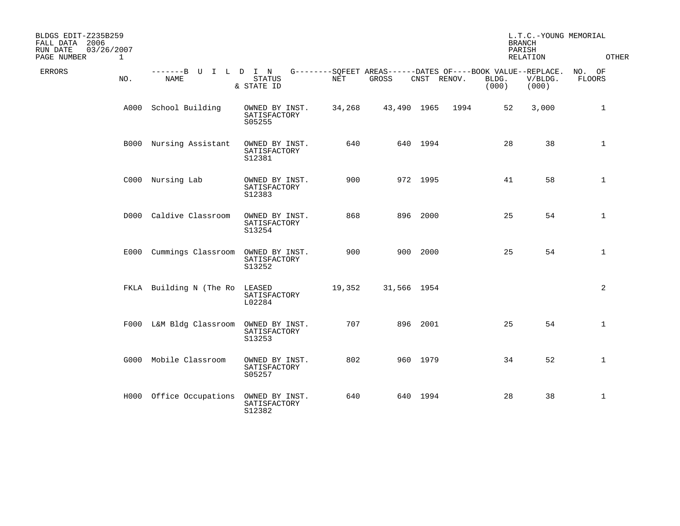| BLDGS EDIT-Z235B259<br>FALL DATA 2006<br>RUN DATE<br>03/26/2007<br>PAGE NUMBER | 1    |                                        |                                          |        |                                                                      |             |      | <b>BRANCH</b><br>PARISH | L.T.C.-YOUNG MEMORIAL<br>RELATION | OTHER            |
|--------------------------------------------------------------------------------|------|----------------------------------------|------------------------------------------|--------|----------------------------------------------------------------------|-------------|------|-------------------------|-----------------------------------|------------------|
| ERRORS                                                                         | NO.  | -------B U I L D I N<br>NAME           | <b>STATUS</b><br>& STATE ID              | NET    | G--------SOFEET AREAS------DATES OF----BOOK VALUE--REPLACE.<br>GROSS | CNST RENOV. |      | BLDG.<br>(000)          | V/BLDG.<br>(000)                  | NO. OF<br>FLOORS |
|                                                                                | A000 | School Building                        | OWNED BY INST.<br>SATISFACTORY<br>S05255 | 34,268 | 43,490 1965                                                          |             | 1994 | 52                      | 3,000                             | 1                |
|                                                                                |      | B000 Nursing Assistant                 | OWNED BY INST.<br>SATISFACTORY<br>S12381 | 640    |                                                                      | 640 1994    |      | 28                      | 38                                | 1                |
|                                                                                |      | C000 Nursing Lab                       | OWNED BY INST.<br>SATISFACTORY<br>S12383 | 900    |                                                                      | 972 1995    |      | 41                      | 58                                | $\mathbf 1$      |
|                                                                                |      | D000 Caldive Classroom                 | OWNED BY INST.<br>SATISFACTORY<br>S13254 | 868    |                                                                      | 896 2000    |      | 25                      | 54                                | $\mathbf 1$      |
|                                                                                |      | E000 Cummings Classroom OWNED BY INST. | SATISFACTORY<br>S13252                   | 900    |                                                                      | 900 2000    |      | 25                      | 54                                | $\mathbf{1}$     |
|                                                                                |      | FKLA Building N (The Ro                | LEASED<br>SATISFACTORY<br>L02284         | 19,352 | 31,566 1954                                                          |             |      |                         |                                   | 2                |
|                                                                                |      | F000 L&M Bldg Classroom OWNED BY INST. | SATISFACTORY<br>S13253                   | 707    |                                                                      | 896 2001    |      | 25                      | 54                                | $\mathbf 1$      |
|                                                                                |      | G000 Mobile Classroom                  | OWNED BY INST.<br>SATISFACTORY<br>S05257 | 802    |                                                                      | 960 1979    |      | 34                      | 52                                | $\mathbf{1}$     |
|                                                                                |      | H000 Office Occupations                | OWNED BY INST.<br>SATISFACTORY<br>S12382 | 640    |                                                                      | 640 1994    |      | 28                      | 38                                | 1                |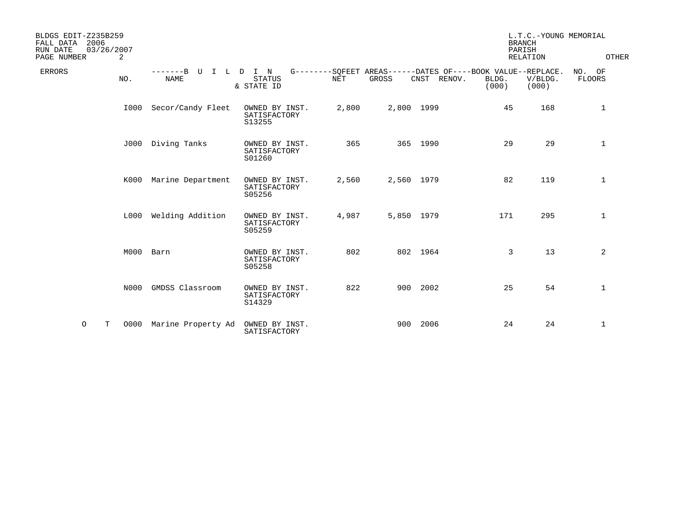| BLDGS EDIT-Z235B259<br>2006<br>FALL DATA<br>RUN DATE<br>03/26/2007<br>PAGE NUMBER<br>2 |                                      |                                          |            |            |                                                                               |                | L.T.C.-YOUNG MEMORIAL<br><b>BRANCH</b><br>PARISH<br><b>RELATION</b> | OTHER                   |
|----------------------------------------------------------------------------------------|--------------------------------------|------------------------------------------|------------|------------|-------------------------------------------------------------------------------|----------------|---------------------------------------------------------------------|-------------------------|
| <b>ERRORS</b><br>NO.                                                                   | $---B$<br>U<br>T<br>L<br><b>NAME</b> | D I N<br><b>STATUS</b><br>& STATE ID     | <b>NET</b> | GROSS      | G--------SQFEET AREAS------DATES OF----BOOK VALUE--REPLACE.<br>CNST<br>RENOV. | BLDG.<br>(000) | V/BLDG.<br>(000)                                                    | NO. OF<br><b>FLOORS</b> |
| I000                                                                                   | Secor/Candy Fleet                    | OWNED BY INST.<br>SATISFACTORY<br>S13255 | 2,800      | 2,800 1999 |                                                                               | 45             | 168                                                                 | 1                       |
| J000                                                                                   | Diving Tanks                         | OWNED BY INST.<br>SATISFACTORY<br>S01260 | 365        |            | 365 1990                                                                      | 29             | 29                                                                  | 1                       |
| K000                                                                                   | Marine Department                    | OWNED BY INST.<br>SATISFACTORY<br>S05256 | 2,560      | 2,560 1979 |                                                                               | 82             | 119                                                                 | 1                       |
| L000                                                                                   | Welding Addition                     | OWNED BY INST.<br>SATISFACTORY<br>S05259 | 4,987      | 5,850 1979 |                                                                               | 171            | 295                                                                 | $\mathbf 1$             |
| M000                                                                                   | Barn                                 | OWNED BY INST.<br>SATISFACTORY<br>S05258 | 802        |            | 802 1964                                                                      | 3              | 13                                                                  | 2                       |
| N000                                                                                   | GMDSS Classroom                      | OWNED BY INST.<br>SATISFACTORY<br>S14329 | 822        |            | 900 2002                                                                      | 25             | 54                                                                  | 1                       |
| $\circ$<br>т<br>0000                                                                   | Marine Property Ad                   | OWNED BY INST.<br>SATISFACTORY           |            | 900        | 2006                                                                          | 24             | 24                                                                  | 1                       |